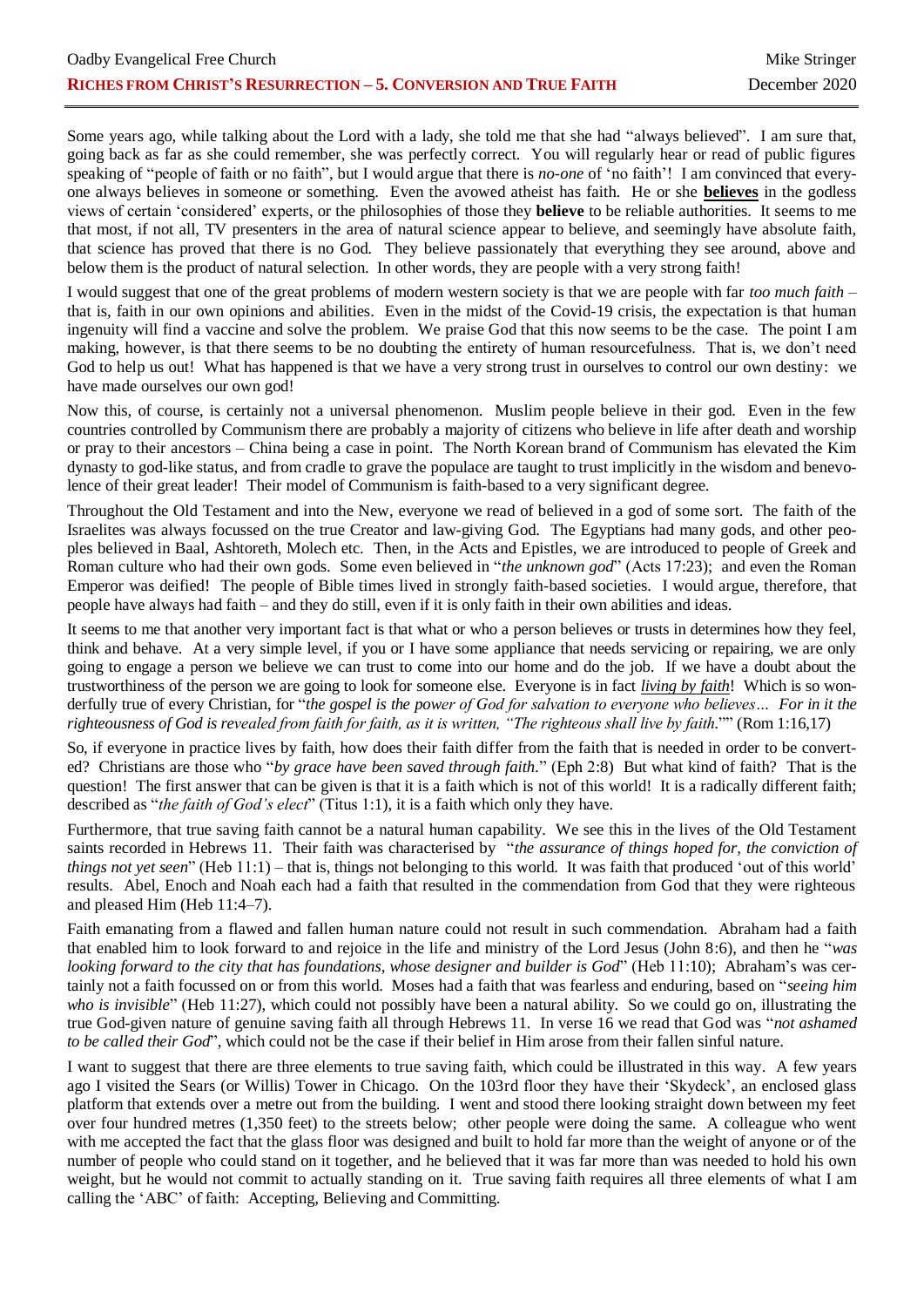Some years ago, while talking about the Lord with a lady, she told me that she had "always believed". I am sure that, going back as far as she could remember, she was perfectly correct. You will regularly hear or read of public figures speaking of "people of faith or no faith", but I would argue that there is *no-one* of 'no faith'! I am convinced that everyone always believes in someone or something. Even the avowed atheist has faith. He or she **believes** in the godless views of certain 'considered' experts, or the philosophies of those they **believe** to be reliable authorities. It seems to me that most, if not all, TV presenters in the area of natural science appear to believe, and seemingly have absolute faith, that science has proved that there is no God. They believe passionately that everything they see around, above and below them is the product of natural selection. In other words, they are people with a very strong faith!

I would suggest that one of the great problems of modern western society is that we are people with far *too much faith* – that is, faith in our own opinions and abilities. Even in the midst of the Covid-19 crisis, the expectation is that human ingenuity will find a vaccine and solve the problem. We praise God that this now seems to be the case. The point I am making, however, is that there seems to be no doubting the entirety of human resourcefulness. That is, we don't need God to help us out! What has happened is that we have a very strong trust in ourselves to control our own destiny: we have made ourselves our own god!

Now this, of course, is certainly not a universal phenomenon. Muslim people believe in their god. Even in the few countries controlled by Communism there are probably a majority of citizens who believe in life after death and worship or pray to their ancestors – China being a case in point. The North Korean brand of Communism has elevated the Kim dynasty to god-like status, and from cradle to grave the populace are taught to trust implicitly in the wisdom and benevolence of their great leader! Their model of Communism is faith-based to a very significant degree.

Throughout the Old Testament and into the New, everyone we read of believed in a god of some sort. The faith of the Israelites was always focussed on the true Creator and law-giving God. The Egyptians had many gods, and other peoples believed in Baal, Ashtoreth, Molech etc. Then, in the Acts and Epistles, we are introduced to people of Greek and Roman culture who had their own gods. Some even believed in "*the unknown god*" (Acts 17:23); and even the Roman Emperor was deified! The people of Bible times lived in strongly faith-based societies. I would argue, therefore, that people have always had faith – and they do still, even if it is only faith in their own abilities and ideas.

It seems to me that another very important fact is that what or who a person believes or trusts in determines how they feel, think and behave. At a very simple level, if you or I have some appliance that needs servicing or repairing, we are only going to engage a person we believe we can trust to come into our home and do the job. If we have a doubt about the trustworthiness of the person we are going to look for someone else. Everyone is in fact *living by faith*! Which is so wonderfully true of every Christian, for "*the gospel is the power of God for salvation to everyone who believes… For in it the righteousness of God is revealed from faith for faith, as it is written, "The righteous shall live by faith.*"" (Rom 1:16,17)

So, if everyone in practice lives by faith, how does their faith differ from the faith that is needed in order to be converted? Christians are those who "*by grace have been saved through faith.*" (Eph 2:8) But what kind of faith? That is the question! The first answer that can be given is that it is a faith which is not of this world! It is a radically different faith; described as "*the faith of God's elect*" (Titus 1:1), it is a faith which only they have.

Furthermore, that true saving faith cannot be a natural human capability. We see this in the lives of the Old Testament saints recorded in Hebrews 11. Their faith was characterised by "*the assurance of things hoped for, the conviction of things not yet seen*" (Heb 11:1) – that is, things not belonging to this world. It was faith that produced 'out of this world' results. Abel, Enoch and Noah each had a faith that resulted in the commendation from God that they were righteous and pleased Him (Heb 11:4–7).

Faith emanating from a flawed and fallen human nature could not result in such commendation. Abraham had a faith that enabled him to look forward to and rejoice in the life and ministry of the Lord Jesus (John 8:6), and then he "*was looking forward to the city that has foundations, whose designer and builder is God*" (Heb 11:10); Abraham's was certainly not a faith focussed on or from this world. Moses had a faith that was fearless and enduring, based on "*seeing him who is invisible*" (Heb 11:27), which could not possibly have been a natural ability. So we could go on, illustrating the true God-given nature of genuine saving faith all through Hebrews 11. In verse 16 we read that God was "*not ashamed to be called their God*", which could not be the case if their belief in Him arose from their fallen sinful nature.

I want to suggest that there are three elements to true saving faith, which could be illustrated in this way. A few years ago I visited the Sears (or Willis) Tower in Chicago. On the 103rd floor they have their 'Skydeck', an enclosed glass platform that extends over a metre out from the building. I went and stood there looking straight down between my feet over four hundred metres (1,350 feet) to the streets below; other people were doing the same. A colleague who went with me accepted the fact that the glass floor was designed and built to hold far more than the weight of anyone or of the number of people who could stand on it together, and he believed that it was far more than was needed to hold his own weight, but he would not commit to actually standing on it. True saving faith requires all three elements of what I am calling the 'ABC' of faith: Accepting, Believing and Committing.